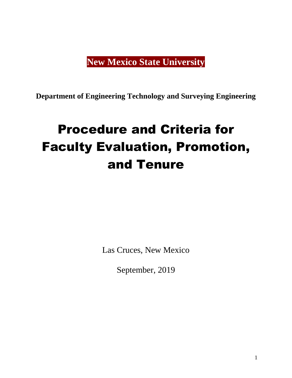## **New Mexico State University**

**Department of Engineering Technology and Surveying Engineering**

# Procedure and Criteria for Faculty Evaluation, Promotion, and Tenure

Las Cruces, New Mexico

September, 2019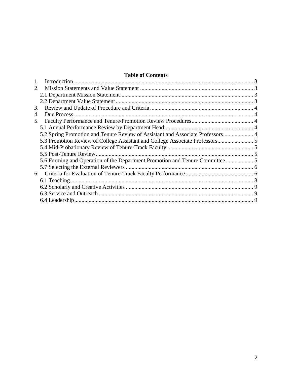#### **Table of Contents**

| 2.                                                                             |  |
|--------------------------------------------------------------------------------|--|
|                                                                                |  |
|                                                                                |  |
| 3.                                                                             |  |
| 4.                                                                             |  |
| 5.                                                                             |  |
|                                                                                |  |
| 5.2 Spring Promotion and Tenure Review of Assistant and Associate Professors 4 |  |
|                                                                                |  |
|                                                                                |  |
|                                                                                |  |
| 5.6 Forming and Operation of the Department Promotion and Tenure Committee     |  |
|                                                                                |  |
|                                                                                |  |
|                                                                                |  |
|                                                                                |  |
|                                                                                |  |
|                                                                                |  |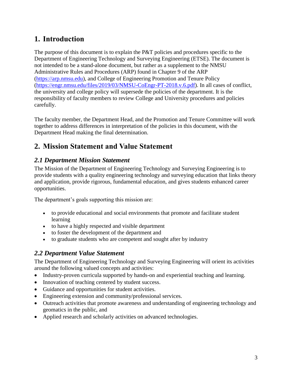### <span id="page-2-0"></span>**1. Introduction**

The purpose of this document is to explain the P&T policies and procedures specific to the Department of Engineering Technology and Surveying Engineering (ETSE). The document is not intended to be a stand-alone document, but rather as a supplement to the NMSU Administrative Rules and Procedures (ARP) found in Chapter 9 of the ARP [\(https://arp.nmsu.edu\)](https://arp.nmsu.edu/), and College of Engineering Promotion and Tenure Policy [\(https://engr.nmsu.edu/files/2019/03/NMSU-CoEngr-PT-2018.v.6.pdf\)](https://engr.nmsu.edu/files/2019/03/NMSU-CoEngr-PT-2018.v.6.pdf). In all cases of conflict, the university and college policy will supersede the policies of the department. It is the responsibility of faculty members to review College and University procedures and policies carefully.

The faculty member, the Department Head, and the Promotion and Tenure Committee will work together to address differences in interpretation of the policies in this document, with the Department Head making the final determination.

## <span id="page-2-1"></span>**2. Mission Statement and Value Statement**

#### <span id="page-2-2"></span>*2.1 Department Mission Statement*

The Mission of the Department of Engineering Technology and Surveying Engineering is to provide students with a quality engineering technology and surveying education that links theory and application, provide rigorous, fundamental education, and gives students enhanced career opportunities.

The department's goals supporting this mission are:

- to provide educational and social environments that promote and facilitate student learning
- to have a highly respected and visible department
- to foster the development of the department and
- to graduate students who are competent and sought after by industry

#### <span id="page-2-3"></span>*2.2 Department Value Statement*

The Department of Engineering Technology and Surveying Engineering will orient its activities around the following valued concepts and activities:

- Industry-proven curricula supported by hands-on and experiential teaching and learning.
- Innovation of teaching centered by student success.
- Guidance and opportunities for student activities.
- Engineering extension and community/professional services.
- Outreach activities that promote awareness and understanding of engineering technology and geomatics in the public, and
- Applied research and scholarly activities on advanced technologies.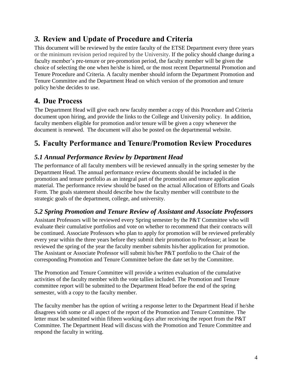## <span id="page-3-0"></span>*3.* **Review and Update of Procedure and Criteria**

This document will be reviewed by the entire faculty of the ETSE Department every three years or the minimum revision period required by the University. If the policy should change during a faculty member's pre-tenure or pre-promotion period, the faculty member will be given the choice of selecting the one when he/she is hired, or the most recent Departmental Promotion and Tenure Procedure and Criteria. A faculty member should inform the Department Promotion and Tenure Committee and the Department Head on which version of the promotion and tenure policy he/she decides to use.

## <span id="page-3-1"></span>**4. Due Process**

The Department Head will give each new faculty member a copy of this Procedure and Criteria document upon hiring, and provide the links to the College and University policy. In addition, faculty members eligible for promotion and/or tenure will be given a copy whenever the document is renewed. The document will also be posted on the departmental website.

## <span id="page-3-2"></span>**5. Faculty Performance and Tenure/Promotion Review Procedures**

#### <span id="page-3-3"></span>*5.1 Annual Performance Review by Department Head*

The performance of all faculty members will be reviewed annually in the spring semester by the Department Head. The annual performance review documents should be included in the promotion and tenure portfolio as an integral part of the promotion and tenure application material. The performance review should be based on the actual Allocation of Efforts and Goals Form. The goals statement should describe how the faculty member will contribute to the strategic goals of the department, college, and university.

#### <span id="page-3-4"></span>*5.2 Spring Promotion and Tenure Review of Assistant and Associate Professors*

Assistant Professors will be reviewed every Spring semester by the P&T Committee who will evaluate their cumulative portfolios and vote on whether to recommend that their contracts will be continued. Associate Professors who plan to apply for promotion will be reviewed preferably every year within the three years before they submit their promotion to Professor; at least be reviewed the spring of the year the faculty member submits his/her application for promotion. The Assistant or Associate Professor will submit his/her P&T portfolio to the Chair of the corresponding Promotion and Tenure Committee before the date set by the Committee.

The Promotion and Tenure Committee will provide a written evaluation of the cumulative activities of the faculty member with the vote tallies included. The Promotion and Tenure committee report will be submitted to the Department Head before the end of the spring semester, with a copy to the faculty member.

The faculty member has the option of writing a response letter to the Department Head if he/she disagrees with some or all aspect of the report of the Promotion and Tenure Committee. The letter must be submitted within fifteen working days after receiving the report from the P&T Committee. The Department Head will discuss with the Promotion and Tenure Committee and respond the faculty in writing.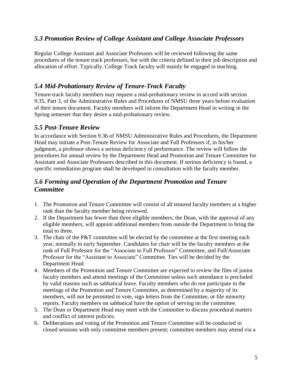#### <span id="page-4-0"></span>*5.3 Promotion Review of College Assistant and College Associate Professors*

Regular College Assistant and Associate Professors will be reviewed following the same procedures of the tenure track professors, but with the criteria defined in their job description and allocation of effort. Typically, College Track faculty will mainly be engaged in teaching.

#### <span id="page-4-1"></span>*5.4 Mid-Probationary Review of Tenure-Track Faculty*

Tenure-track faculty members may request a mid-probationary review in accord with section 9.35, Part 3, of the Administrative Rules and Procedures of NMSU three years before evaluation of their tenure document. Faculty members will inform the Department Head in writing in the Spring semester that they desire a mid-probationary review.

#### <span id="page-4-2"></span>*5.5 Post-Tenure Review*

In accordance with Section 9.36 of NMSU Administrative Rules and Procedures, the Department Head may initiate a Post-Tenure Review for Associate and Full Professors if, in his/her judgment, a professor shows a serious deficiency of performance. The review will follow the procedures for annual review by the Department Head and Promotion and Tenure Committee for Assistant and Associate Professors described in this document. If serious deficiency is found, a specific remediation program shall be developed in consultation with the faculty member.

#### <span id="page-4-3"></span>*5.6 Forming and Operation of the Department Promotion and Tenure Committee*

- 1. The Promotion and Tenure Committee will consist of all tenured faculty members at a higher rank than the faculty member being reviewed.
- 2. If the Department has fewer than three eligible members; the Dean, with the approval of any eligible members, will appoint additional members from outside the Department to bring the total to three.
- 3. The chair of the P&T committee will be elected by the committee at the first meeting each year, normally in early September. Candidates for chair will be the faculty members at the rank of Full Professor for the "Associate to Full Professor" Committee, and Full/Associate Professor for the "Assistant to Associate" Committee. Ties will be decided by the Department Head.
- 4. Members of the Promotion and Tenure Committee are expected to review the files of junior faculty members and attend meetings of the Committee unless such attendance is precluded by valid reasons such as sabbatical leave. Faculty members who do not participate in the meetings of the Promotion and Tenure Committee, as determined by a majority of its members, will not be permitted to vote, sign letters from the Committee, or file minority reports. Faculty members on sabbatical have the option of serving on the committee.
- 5. The Dean or Department Head may meet with the Committee to discuss procedural matters and conflict of interest policies.
- 6. Deliberations and voting of the Promotion and Tenure Committee will be conducted in closed sessions with only committee members present; committee members may attend via a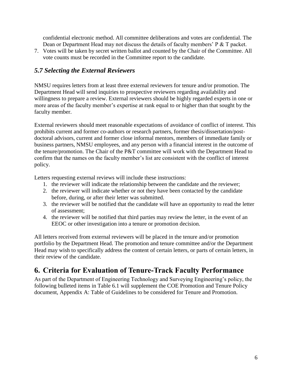confidential electronic method. All committee deliberations and votes are confidential. The Dean or Department Head may not discuss the details of faculty members' P & T packet.

7. Votes will be taken by secret written ballot and counted by the Chair of the Committee. All vote counts must be recorded in the Committee report to the candidate.

#### <span id="page-5-0"></span>*5.7 Selecting the External Reviewers*

NMSU requires letters from at least three external reviewers for tenure and/or promotion. The Department Head will send inquiries to prospective reviewers regarding availability and willingness to prepare a review. External reviewers should be highly regarded experts in one or more areas of the faculty member's expertise at rank equal to or higher than that sought by the faculty member.

External reviewers should meet reasonable expectations of avoidance of conflict of interest. This prohibits current and former co-authors or research partners, former thesis/dissertation/postdoctoral advisors, current and former close informal mentors, members of immediate family or business partners, NMSU employees, and any person with a financial interest in the outcome of the tenure/promotion. The Chair of the P&T committee will work with the Department Head to confirm that the names on the faculty member's list are consistent with the conflict of interest policy.

Letters requesting external reviews will include these instructions:

- 1. the reviewer will indicate the relationship between the candidate and the reviewer;
- 2. the reviewer will indicate whether or not they have been contacted by the candidate before, during, or after their letter was submitted.
- 3. the reviewer will be notified that the candidate will have an opportunity to read the letter of assessment;
- 4. the reviewer will be notified that third parties may review the letter, in the event of an EEOC or other investigation into a tenure or promotion decision.

All letters received from external reviewers will be placed in the tenure and/or promotion portfolio by the Department Head. The promotion and tenure committee and/or the Department Head may wish to specifically address the content of certain letters, or parts of certain letters, in their review of the candidate.

## <span id="page-5-1"></span>**6. Criteria for Evaluation of Tenure-Track Faculty Performance**

As part of the Department of Engineering Technology and Surveying Engineering's policy, the following bulleted items in Table 6.1 will supplement the COE Promotion and Tenure Policy document, Appendix A: Table of Guidelines to be considered for Tenure and Promotion.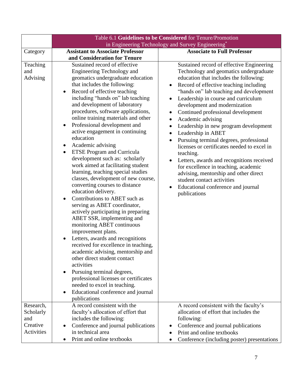|                             | Table 6.1 Guidelines to be Considered for Tenure/Promotion                                                                                                                                                                                                                                                                                                                                                                                                                                                                                                                                                                                                                                                                                                                                                                                                                                                                                                                                                                                                                                                                                                                                                                                 |                                                                                                                                                                                                                                                                                                                                                                                                                                                                                                                                                                                                                                                                                                                                                                                                                                                       |  |
|-----------------------------|--------------------------------------------------------------------------------------------------------------------------------------------------------------------------------------------------------------------------------------------------------------------------------------------------------------------------------------------------------------------------------------------------------------------------------------------------------------------------------------------------------------------------------------------------------------------------------------------------------------------------------------------------------------------------------------------------------------------------------------------------------------------------------------------------------------------------------------------------------------------------------------------------------------------------------------------------------------------------------------------------------------------------------------------------------------------------------------------------------------------------------------------------------------------------------------------------------------------------------------------|-------------------------------------------------------------------------------------------------------------------------------------------------------------------------------------------------------------------------------------------------------------------------------------------------------------------------------------------------------------------------------------------------------------------------------------------------------------------------------------------------------------------------------------------------------------------------------------------------------------------------------------------------------------------------------------------------------------------------------------------------------------------------------------------------------------------------------------------------------|--|
|                             | in Engineering Technology and Survey Engineering*                                                                                                                                                                                                                                                                                                                                                                                                                                                                                                                                                                                                                                                                                                                                                                                                                                                                                                                                                                                                                                                                                                                                                                                          |                                                                                                                                                                                                                                                                                                                                                                                                                                                                                                                                                                                                                                                                                                                                                                                                                                                       |  |
| Category                    | <b>Assistant to Associate Professor</b>                                                                                                                                                                                                                                                                                                                                                                                                                                                                                                                                                                                                                                                                                                                                                                                                                                                                                                                                                                                                                                                                                                                                                                                                    | <b>Associate to Full Professor</b>                                                                                                                                                                                                                                                                                                                                                                                                                                                                                                                                                                                                                                                                                                                                                                                                                    |  |
|                             | and Consideration for Tenure                                                                                                                                                                                                                                                                                                                                                                                                                                                                                                                                                                                                                                                                                                                                                                                                                                                                                                                                                                                                                                                                                                                                                                                                               |                                                                                                                                                                                                                                                                                                                                                                                                                                                                                                                                                                                                                                                                                                                                                                                                                                                       |  |
| Teaching<br>and<br>Advising | Sustained record of effective<br>Engineering Technology and<br>geomatics undergraduate education<br>that includes the following:<br>Record of effective teaching<br>٠<br>including "hands on" lab teaching<br>and development of laboratory<br>procedures, software applications,<br>online training materials and other<br>Professional development and<br>$\bullet$<br>active engagement in continuing<br>education<br>Academic advising<br><b>ETSE Program and Curricula</b><br>$\bullet$<br>development such as: scholarly<br>work aimed at facilitating student<br>learning, teaching special studies<br>classes, development of new course,<br>converting courses to distance<br>education delivery.<br>Contributions to ABET such as<br>$\bullet$<br>serving as ABET coordinator,<br>actively participating in preparing<br>ABET SSR, implementing and<br>monitoring ABET continuous<br>improvement plans.<br>Letters, awards and recognitions<br>received for excellence in teaching,<br>academic advising, mentorship and<br>other direct student contact<br>activities<br>Pursuing terminal degrees,<br>professional licenses or certificates<br>needed to excel in teaching.<br>Educational conference and journal<br>$\bullet$ | Sustained record of effective Engineering<br>Technology and geomatics undergraduate<br>education that includes the following:<br>Record of effective teaching including<br>"hands on" lab teaching and development<br>Leadership in course and curriculum<br>$\bullet$<br>development and modernization<br>Continued professional development<br>$\bullet$<br>Academic advising<br>$\bullet$<br>Leadership in new program development<br>$\bullet$<br>Leadership in ABET<br>$\bullet$<br>Pursuing terminal degrees, professional<br>$\bullet$<br>licenses or certificates needed to excel in<br>teaching.<br>Letters, awards and recognitions received<br>$\bullet$<br>for excellence in teaching, academic<br>advising, mentorship and other direct<br>student contact activities<br>Educational conference and journal<br>$\bullet$<br>publications |  |
|                             | publications                                                                                                                                                                                                                                                                                                                                                                                                                                                                                                                                                                                                                                                                                                                                                                                                                                                                                                                                                                                                                                                                                                                                                                                                                               |                                                                                                                                                                                                                                                                                                                                                                                                                                                                                                                                                                                                                                                                                                                                                                                                                                                       |  |
| Research,                   | A record consistent with the                                                                                                                                                                                                                                                                                                                                                                                                                                                                                                                                                                                                                                                                                                                                                                                                                                                                                                                                                                                                                                                                                                                                                                                                               | A record consistent with the faculty's                                                                                                                                                                                                                                                                                                                                                                                                                                                                                                                                                                                                                                                                                                                                                                                                                |  |
| Scholarly<br>and            | faculty's allocation of effort that                                                                                                                                                                                                                                                                                                                                                                                                                                                                                                                                                                                                                                                                                                                                                                                                                                                                                                                                                                                                                                                                                                                                                                                                        | allocation of effort that includes the                                                                                                                                                                                                                                                                                                                                                                                                                                                                                                                                                                                                                                                                                                                                                                                                                |  |
| Creative                    | includes the following:                                                                                                                                                                                                                                                                                                                                                                                                                                                                                                                                                                                                                                                                                                                                                                                                                                                                                                                                                                                                                                                                                                                                                                                                                    | following:                                                                                                                                                                                                                                                                                                                                                                                                                                                                                                                                                                                                                                                                                                                                                                                                                                            |  |
| Activities                  | Conference and journal publications<br>$\bullet$<br>in technical area                                                                                                                                                                                                                                                                                                                                                                                                                                                                                                                                                                                                                                                                                                                                                                                                                                                                                                                                                                                                                                                                                                                                                                      | Conference and journal publications<br>$\bullet$                                                                                                                                                                                                                                                                                                                                                                                                                                                                                                                                                                                                                                                                                                                                                                                                      |  |
|                             |                                                                                                                                                                                                                                                                                                                                                                                                                                                                                                                                                                                                                                                                                                                                                                                                                                                                                                                                                                                                                                                                                                                                                                                                                                            | Print and online textbooks                                                                                                                                                                                                                                                                                                                                                                                                                                                                                                                                                                                                                                                                                                                                                                                                                            |  |
|                             | Print and online textbooks                                                                                                                                                                                                                                                                                                                                                                                                                                                                                                                                                                                                                                                                                                                                                                                                                                                                                                                                                                                                                                                                                                                                                                                                                 | Conference (including poster) presentations                                                                                                                                                                                                                                                                                                                                                                                                                                                                                                                                                                                                                                                                                                                                                                                                           |  |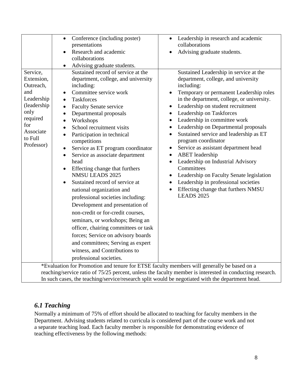| Service,<br>Extension,<br>Outreach,<br>and<br>Leadership<br>(leadership)<br>only<br>required<br>for<br>Associate<br>to Full<br>Professor)                                                              | Conference (including poster)<br>$\bullet$<br>presentations<br>Research and academic<br>collaborations<br>Advising graduate students.<br>Sustained record of service at the<br>department, college, and university<br>including:<br>Committee service work<br><b>Taskforces</b><br>$\bullet$<br><b>Faculty Senate service</b><br>$\bullet$<br>Departmental proposals<br>$\bullet$<br>Workshops<br>$\bullet$<br>School recruitment visits<br>$\bullet$<br>Participation in technical<br>competitions<br>Service as ET program coordinator<br>Service as associate department<br>$\bullet$<br>head<br>Effecting change that furthers<br><b>NMSU LEADS 2025</b><br>Sustained record of service at<br>national organization and<br>professional societies including:<br>Development and presentation of<br>non-credit or for-credit courses,<br>seminars, or workshops; Being an<br>officer, chairing committees or task<br>forces; Service on advisory boards | Leadership in research and academic<br>$\bullet$<br>collaborations<br>Advising graduate students.<br>Sustained Leadership in service at the<br>department, college, and university<br>including:<br>Temporary or permanent Leadership roles<br>$\bullet$<br>in the department, college, or university.<br>Leadership on student recruitment<br>$\bullet$<br>Leadership on Taskforces<br>$\bullet$<br>Leadership in committee work<br>$\bullet$<br>Leadership on Departmental proposals<br>$\bullet$<br>Sustained service and leadership as ET<br>$\bullet$<br>program coordinator<br>Service as assistant department head<br>$\bullet$<br><b>ABET</b> leadership<br>$\bullet$<br>Leadership on Industrial Advisory<br>$\bullet$<br>Committees<br>Leadership on Faculty Senate legislation<br>$\bullet$<br>Leadership in professional societies<br>$\bullet$<br>Effecting change that furthers NMSU<br>$\bullet$<br><b>LEADS 2025</b> |  |  |
|--------------------------------------------------------------------------------------------------------------------------------------------------------------------------------------------------------|------------------------------------------------------------------------------------------------------------------------------------------------------------------------------------------------------------------------------------------------------------------------------------------------------------------------------------------------------------------------------------------------------------------------------------------------------------------------------------------------------------------------------------------------------------------------------------------------------------------------------------------------------------------------------------------------------------------------------------------------------------------------------------------------------------------------------------------------------------------------------------------------------------------------------------------------------------|--------------------------------------------------------------------------------------------------------------------------------------------------------------------------------------------------------------------------------------------------------------------------------------------------------------------------------------------------------------------------------------------------------------------------------------------------------------------------------------------------------------------------------------------------------------------------------------------------------------------------------------------------------------------------------------------------------------------------------------------------------------------------------------------------------------------------------------------------------------------------------------------------------------------------------------|--|--|
|                                                                                                                                                                                                        | and committees; Serving as expert<br>witness, and Contributions to                                                                                                                                                                                                                                                                                                                                                                                                                                                                                                                                                                                                                                                                                                                                                                                                                                                                                         |                                                                                                                                                                                                                                                                                                                                                                                                                                                                                                                                                                                                                                                                                                                                                                                                                                                                                                                                      |  |  |
|                                                                                                                                                                                                        | professional societies.                                                                                                                                                                                                                                                                                                                                                                                                                                                                                                                                                                                                                                                                                                                                                                                                                                                                                                                                    |                                                                                                                                                                                                                                                                                                                                                                                                                                                                                                                                                                                                                                                                                                                                                                                                                                                                                                                                      |  |  |
| *Evaluation for Promotion and tenure for ETSE faculty members will generally be based on a<br>reaching/service ratio of 75/25 percent, unless the faculty member is interested in conducting research. |                                                                                                                                                                                                                                                                                                                                                                                                                                                                                                                                                                                                                                                                                                                                                                                                                                                                                                                                                            |                                                                                                                                                                                                                                                                                                                                                                                                                                                                                                                                                                                                                                                                                                                                                                                                                                                                                                                                      |  |  |

In such cases, the teaching/service/research split would be negotiated with the department head.

#### <span id="page-7-0"></span>*6.1 Teaching*

Normally a minimum of 75% of effort should be allocated to teaching for faculty members in the Department. Advising students related to curricula is considered part of the course work and not a separate teaching load. Each faculty member is responsible for demonstrating evidence of teaching effectiveness by the following methods: